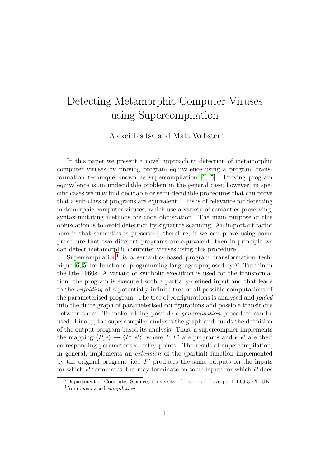## Detecting Metamorphic Computer Viruses using Supercompilation

Alexei Lisitsa and Matt Webster<sup>∗</sup>

In this paper we present a novel approach to detection of metamorphic computer viruses by proving program equivalence using a program transformation technique known as supercompilation [\[6,](#page-4-0) [5\]](#page-4-1). Proving program equivalence is an undecidable problem in the general case; however, in specific cases we may find decidable or semi-decidable procedures that can prove that a sub-class of programs are equivalent. This is of relevance for detecting metamorphic computer viruses, which use a variety of semantics-preserving, syntax-mutating methods for code obfuscation. The main purpose of this obfuscation is to avoid detection by signature scanning. An important factor here is that semantics is preserved; therefore, if we can prove using some procedure that two different programs are equivalent, then in principle we can detect metamorphic computer viruses using this procedure.

Supercompilation<sup>[1](#page-0-0)</sup> is a semantics-based program transformation technique [\[6,](#page-4-0) [5\]](#page-4-1) for functional programming languages proposed by V. Turchin in the late 1960s. A variant of symbolic execution is used for the transformation: the program is executed with a partially-defined input and that leads to the unfolding of a potentially infinite tree of all possible computations of the parameterised program. The tree of configurations is analysed and folded into the finite graph of parameterised configurations and possible transitions between them. To make folding possible a generalisation procedure can be used. Finally, the supercompiler analyses the graph and builds the definition of the output program based its analysis. Thus, a supercompiler implements the mapping  $\langle P, e \rangle \mapsto \langle P', e' \rangle$ , where P, P' are programs and e, e' are their corresponding parameterised entry points. The result of supercompilation, in general, implements an extension of the (partial) function implemented by the original program, i.e.,  $P'$  produces the same outputs on the inputs for which  $P$  terminates, but may terminate on some inputs for which  $P$  does

<span id="page-0-0"></span><sup>∗</sup>Department of Computer Science, University of Liverpool, Liverpool, L69 3BX, UK. <sup>1</sup> from *supervised compilation*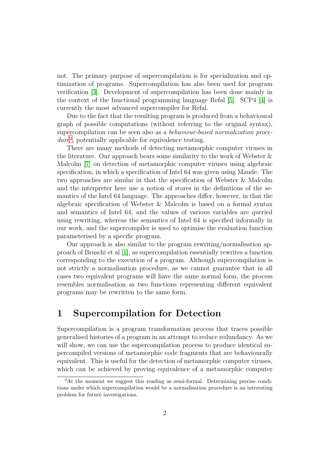not. The primary purpose of supercompilation is for specialization and optimization of programs. Supercompilation has also been used for program verification [\[3\]](#page-4-2). Development of supercompilation has been done mainly in the context of the functional programming language Refal [\[5\]](#page-4-1). SCP4 [\[4\]](#page-4-3) is currently the most advanced supercompiler for Refal.

Due to the fact that the resulting program is produced from a behavioural graph of possible computations (without referring to the original syntax), supercompilation can be seen also as a behaviour-based normalization proce-dure<sup>[2](#page-1-0)</sup>, potentially applicable for equivalence testing.

There are many methods of detecting metamorphic computer viruses in the literature. Our approach bears some similarity to the work of Webster & Malcolm [\[7\]](#page-4-4) on detection of metamorphic computer viruses using algebraic specification, in which a specification of Intel 64 was given using Maude. The two approaches are similar in that the specification of Webster & Malcolm and the interpreter here use a notion of stores in the definitions of the semantics of the Intel 64 language. The approaches differ, however, in that the algebraic specification of Webster & Malcolm is based on a formal syntax and semantics of Intel 64, and the values of various variables are queried using rewriting, whereas the semantics of Intel 64 is specified informally in our work, and the supercompiler is used to optimise the evaluation function parameterised by a specific program.

Our approach is also similar to the program rewriting/normalisation approach of Bruschi et al [\[1\]](#page-4-5), as supercompilation essentially rewrites a function corresponding to the execution of a program. Although supercompilation is not strictly a normalisation procedure, as we cannot guarantee that in all cases two equivalent programs will have the same normal form, the process resembles normalisation as two functions representing different equivalent programs may be rewritten to the same form.

## 1 Supercompilation for Detection

Supercompilation is a program transformation process that traces possible generalised histories of a program in an attempt to reduce redundancy. As we will show, we can use the supercompilation process to produce identical supercompiled versions of metamorphic code fragments that are behaviourally equivalent. This is useful for the detection of metamorphic computer viruses, which can be achieved by proving equivalence of a metamorphic computer

<span id="page-1-0"></span><sup>&</sup>lt;sup>2</sup>At the moment we suggest this reading as semi-formal. Determining precise conditions under which supercompilation would be a normalisation procedure is an interesting problem for future investigations.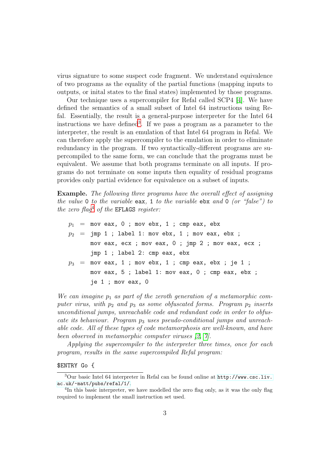virus signature to some suspect code fragment. We understand equivalence of two programs as the equality of the partial functions (mapping inputs to outputs, or inital states to the final states) implemented by those programs.

Our technique uses a supercompiler for Refal called SCP4 [\[4\]](#page-4-3). We have defined the semantics of a small subset of Intel 64 instructions using Refal. Essentially, the result is a general-purpose interpreter for the Intel 64 instructions we have defined<sup>[3](#page-2-0)</sup>. If we pass a program as a parameter to the interpreter, the result is an emulation of that Intel 64 program in Refal. We can therefore apply the supercompiler to the emulation in order to eliminate redundancy in the program. If two syntactically-different programs are supercompiled to the same form, we can conclude that the programs must be equivalent. We assume that both programs terminate on all inputs. If programs do not terminate on some inputs then equality of residual programs provides only partial evidence for equivalence on a subset of inputs.

Example. The following three programs have the overall effect of assigning the value 0 to the variable eax, 1 to the variable ebx and 0 (or "false") to the zero flag<sup>[4](#page-2-1)</sup> of the EFLAGS register:

 $p_1$  = mov eax, 0 ; mov ebx, 1 ; cmp eax, ebx  $p_2 = \text{imp 1}$ ; label 1: mov ebx, 1; mov eax, ebx; mov eax, ecx ; mov eax, 0 ; jmp 2 ; mov eax, ecx ; jmp 1 ; label 2: cmp eax, ebx  $p_3$  = mov eax, 1 ; mov ebx, 1 ; cmp eax, ebx ; je 1 ; mov eax, 5 ; label 1: mov eax, 0 ; cmp eax, ebx ; je 1 ; mov eax, 0

We can imagine  $p_1$  as part of the zeroth generation of a metamorphic computer virus, with  $p_2$  and  $p_3$  as some obfuscated forms. Program  $p_2$  inserts unconditional jumps, unreachable code and redundant code in order to obfuscate its behaviour. Program  $p_3$  uses pseudo-conditional jumps and unreachable code. All of these types of code metamorphosis are well-known, and have been observed in metamorphic computer viruses [\[2,](#page-4-6) [7\]](#page-4-4).

Applying the supercompiler to the interpreter three times, once for each program, results in the same supercompiled Refal program:

\$ENTRY Go {

<span id="page-2-0"></span><sup>3</sup>Our basic Intel 64 interpreter in Refal can be found online at [http://www.csc.liv.](http://www.csc.liv.ac.uk/~matt/pubs/refal/1/) [ac.uk/~matt/pubs/refal/1/](http://www.csc.liv.ac.uk/~matt/pubs/refal/1/).

<span id="page-2-1"></span><sup>&</sup>lt;sup>4</sup>In this basic interpreter, we have modelled the zero flag only, as it was the only flag required to implement the small instruction set used.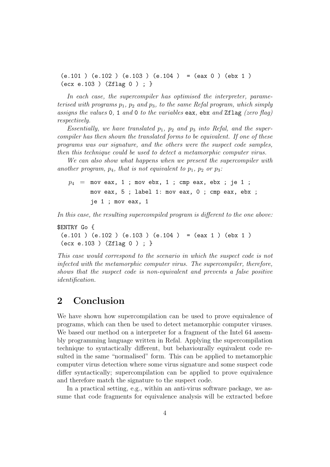$(e.101)$   $(e.102)$   $(e.103)$   $(e.104)$  =  $(eax 0)$   $(ebx 1)$ (ecx e.103 ) (Zflag 0 ) ; }

In each case, the supercompiler has optimised the interpreter, parameterised with programs  $p_1$ ,  $p_2$  and  $p_3$ , to the same Refal program, which simply assigns the values 0, 1 and 0 to the variables eax, ebx and  $Zflag$  (zero flag) respectively.

Essentially, we have translated  $p_1$ ,  $p_2$  and  $p_3$  into Refal, and the supercompiler has then shown the translated forms to be equivalent. If one of these programs was our signature, and the others were the suspect code samples, then this technique could be used to detect a metamorphic computer virus.

We can also show what happens when we present the supercompiler with another program,  $p_4$ , that is not equivalent to  $p_1$ ,  $p_2$  or  $p_3$ :

 $p_4$  = mov eax, 1 ; mov ebx, 1 ; cmp eax, ebx ; je 1 ; mov eax, 5 ; label 1: mov eax, 0 ; cmp eax, ebx ; je 1 ; mov eax, 1

In this case, the resulting supercompiled program is different to the one above:

```
$ENTRY Go {
(e.101 ) (e.102 ) (e.103 ) (e.104 ) = (eax 1 ) (ebx 1 )
(ecx e.103 ) (Zflag 0 ) ; }
```
This case would correspond to the scenario in which the suspect code is not infected with the metamorphic computer virus. The supercompiler, therefore, shows that the suspect code is non-equivalent and prevents a false positive identification.

## 2 Conclusion

We have shown how supercompilation can be used to prove equivalence of programs, which can then be used to detect metamorphic computer viruses. We based our method on a interpreter for a fragment of the Intel 64 assembly programming language written in Refal. Applying the supercompilation technique to syntactically different, but behaviourally equivalent code resulted in the same "normalised" form. This can be applied to metamorphic computer virus detection where some virus signature and some suspect code differ syntactically; supercompilation can be applied to prove equivalence and therefore match the signature to the suspect code.

In a practical setting, e.g., within an anti-virus software package, we assume that code fragments for equivalence analysis will be extracted before